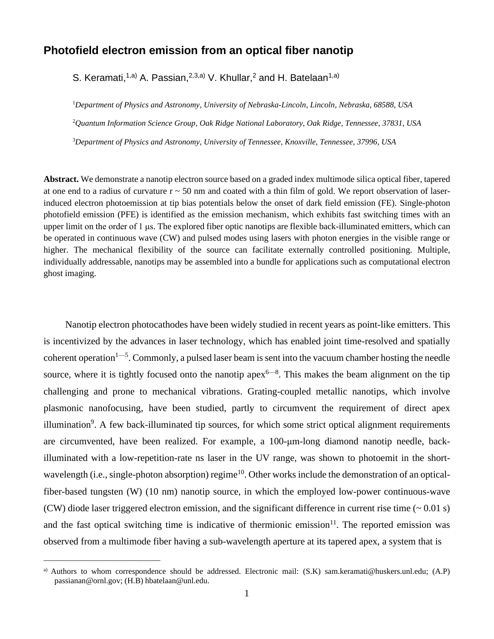## **Photofield electron emission from an optical fiber nanotip**

S. Keramati,<sup>1,a)</sup> A. Passian,<sup>2,3,a)</sup> V. Khullar,<sup>2</sup> and H. Batelaan<sup>1,a)</sup>

<sup>1</sup>*Department of Physics and Astronomy, University of Nebraska-Lincoln, Lincoln, Nebraska, 68588, USA* <sup>2</sup>*Quantum Information Science Group, Oak Ridge National Laboratory, Oak Ridge, Tennessee, 37831, USA* <sup>3</sup>*Department of Physics and Astronomy, University of Tennessee, Knoxville, Tennessee, 37996, USA*

**Abstract.** We demonstrate a nanotip electron source based on a graded index multimode silica optical fiber, tapered at one end to a radius of curvature  $r \sim 50$  nm and coated with a thin film of gold. We report observation of laserinduced electron photoemission at tip bias potentials below the onset of dark field emission (FE). Single-photon photofield emission (PFE) is identified as the emission mechanism, which exhibits fast switching times with an upper limit on the order of 1 μs. The explored fiber optic nanotips are flexible back-illuminated emitters, which can be operated in continuous wave (CW) and pulsed modes using lasers with photon energies in the visible range or higher. The mechanical flexibility of the source can facilitate externally controlled positioning. Multiple, individually addressable, nanotips may be assembled into a bundle for applications such as computational electron ghost imaging.

Nanotip electron photocathodes have been widely studied in recent years as point-like emitters. This is incentivized by the advances in laser technology, which has enabled joint time-resolved and spatially coherent operation<sup>1—5</sup>. Commonly, a pulsed laser beam is sent into the vacuum chamber hosting the needle source, where it is tightly focused onto the nanotip apex $6-8$ . This makes the beam alignment on the tip challenging and prone to mechanical vibrations. Grating-coupled metallic nanotips, which involve plasmonic nanofocusing, have been studied, partly to circumvent the requirement of direct apex illumination<sup>9</sup>. A few back-illuminated tip sources, for which some strict optical alignment requirements are circumvented, have been realized. For example, a 100-μm-long diamond nanotip needle, backilluminated with a low-repetition-rate ns laser in the UV range, was shown to photoemit in the shortwavelength (i.e., single-photon absorption) regime<sup>10</sup>. Other works include the demonstration of an opticalfiber-based tungsten (W) (10 nm) nanotip source, in which the employed low-power continuous-wave (CW) diode laser triggered electron emission, and the significant difference in current rise time (~ 0.01 s) and the fast optical switching time is indicative of thermionic emission<sup>11</sup>. The reported emission was observed from a multimode fiber having a sub-wavelength aperture at its tapered apex, a system that is

\_\_\_\_\_\_\_\_\_\_\_\_\_\_\_\_\_\_\_\_\_\_\_\_\_\_\_\_\_

a) Authors to whom correspondence should be addressed. Electronic mail: (S.K) sam.keramati@huskers.unl.edu; (A.P) passianan@ornl.gov; (H.B) hbatelaan@unl.edu.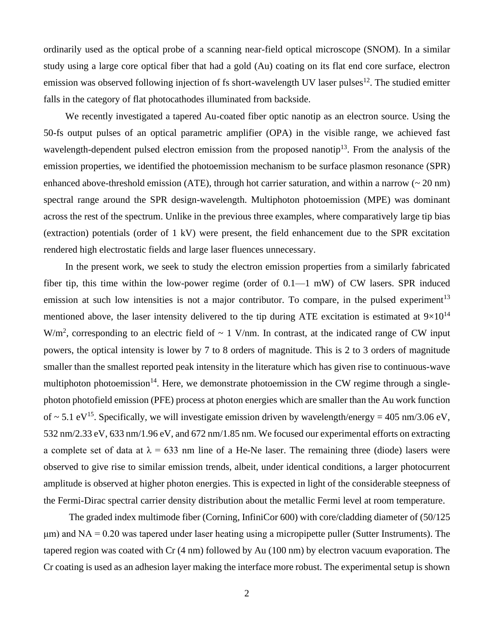ordinarily used as the optical probe of a scanning near-field optical microscope (SNOM). In a similar study using a large core optical fiber that had a gold (Au) coating on its flat end core surface, electron emission was observed following injection of fs short-wavelength UV laser pulses<sup>12</sup>. The studied emitter falls in the category of flat photocathodes illuminated from backside.

We recently investigated a tapered Au-coated fiber optic nanotip as an electron source. Using the 50-fs output pulses of an optical parametric amplifier (OPA) in the visible range, we achieved fast wavelength-dependent pulsed electron emission from the proposed nanotip $13$ . From the analysis of the emission properties, we identified the photoemission mechanism to be surface plasmon resonance (SPR) enhanced above-threshold emission (ATE), through hot carrier saturation, and within a narrow  $\sim 20 \text{ nm}$ ) spectral range around the SPR design-wavelength. Multiphoton photoemission (MPE) was dominant across the rest of the spectrum. Unlike in the previous three examples, where comparatively large tip bias (extraction) potentials (order of 1 kV) were present, the field enhancement due to the SPR excitation rendered high electrostatic fields and large laser fluences unnecessary.

In the present work, we seek to study the electron emission properties from a similarly fabricated fiber tip, this time within the low-power regime (order of 0.1—1 mW) of CW lasers. SPR induced emission at such low intensities is not a major contributor. To compare, in the pulsed experiment<sup>13</sup> mentioned above, the laser intensity delivered to the tip during ATE excitation is estimated at  $9\times10^{14}$  $W/m<sup>2</sup>$ , corresponding to an electric field of  $\sim 1$  V/nm. In contrast, at the indicated range of CW input powers, the optical intensity is lower by 7 to 8 orders of magnitude. This is 2 to 3 orders of magnitude smaller than the smallest reported peak intensity in the literature which has given rise to continuous-wave multiphoton photoemission<sup>14</sup>. Here, we demonstrate photoemission in the CW regime through a singlephoton photofield emission (PFE) process at photon energies which are smaller than the Au work function of  $\sim$  5.1 eV<sup>15</sup>. Specifically, we will investigate emission driven by wavelength/energy = 405 nm/3.06 eV, 532 nm/2.33 eV, 633 nm/1.96 eV, and 672 nm/1.85 nm. We focused our experimental efforts on extracting a complete set of data at  $\lambda = 633$  nm line of a He-Ne laser. The remaining three (diode) lasers were observed to give rise to similar emission trends, albeit, under identical conditions, a larger photocurrent amplitude is observed at higher photon energies. This is expected in light of the considerable steepness of the Fermi-Dirac spectral carrier density distribution about the metallic Fermi level at room temperature.

The graded index multimode fiber (Corning, InfiniCor 600) with core/cladding diameter of (50/125  $\mu$ m) and NA = 0.20 was tapered under laser heating using a micropipette puller (Sutter Instruments). The tapered region was coated with Cr (4 nm) followed by Au (100 nm) by electron vacuum evaporation. The Cr coating is used as an adhesion layer making the interface more robust. The experimental setup is shown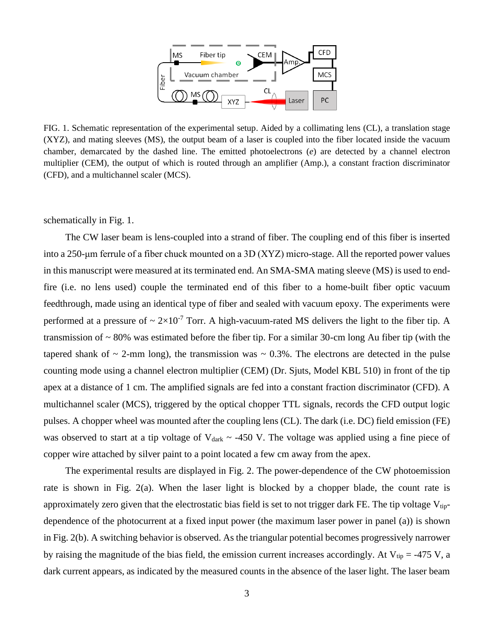

FIG. 1. Schematic representation of the experimental setup. Aided by a collimating lens (CL), a translation stage (XYZ), and mating sleeves (MS), the output beam of a laser is coupled into the fiber located inside the vacuum chamber, demarcated by the dashed line. The emitted photoelectrons (*e*) are detected by a channel electron multiplier (CEM), the output of which is routed through an amplifier (Amp.), a constant fraction discriminator (CFD), and a multichannel scaler (MCS).

schematically in Fig. 1.

The CW laser beam is lens-coupled into a strand of fiber. The coupling end of this fiber is inserted into a 250-μm ferrule of a fiber chuck mounted on a 3D (XYZ) micro-stage. All the reported power values in this manuscript were measured at its terminated end. An SMA-SMA mating sleeve (MS) is used to endfire (i.e. no lens used) couple the terminated end of this fiber to a home-built fiber optic vacuum feedthrough, made using an identical type of fiber and sealed with vacuum epoxy. The experiments were performed at a pressure of  $\sim 2 \times 10^{-7}$  Torr. A high-vacuum-rated MS delivers the light to the fiber tip. A transmission of  $\sim 80\%$  was estimated before the fiber tip. For a similar 30-cm long Au fiber tip (with the tapered shank of  $\sim$  2-mm long), the transmission was  $\sim$  0.3%. The electrons are detected in the pulse counting mode using a channel electron multiplier (CEM) (Dr. Sjuts, Model KBL 510) in front of the tip apex at a distance of 1 cm. The amplified signals are fed into a constant fraction discriminator (CFD). A multichannel scaler (MCS), triggered by the optical chopper TTL signals, records the CFD output logic pulses. A chopper wheel was mounted after the coupling lens (CL). The dark (i.e. DC) field emission (FE) was observed to start at a tip voltage of  $V_{dark} \sim -450$  V. The voltage was applied using a fine piece of copper wire attached by silver paint to a point located a few cm away from the apex.

The experimental results are displayed in Fig. 2. The power-dependence of the CW photoemission rate is shown in Fig. 2(a). When the laser light is blocked by a chopper blade, the count rate is approximately zero given that the electrostatic bias field is set to not trigger dark FE. The tip voltage  $V_{tip}$ dependence of the photocurrent at a fixed input power (the maximum laser power in panel (a)) is shown in Fig. 2(b). A switching behavior is observed. As the triangular potential becomes progressively narrower by raising the magnitude of the bias field, the emission current increases accordingly. At  $V_{tip} = -475 V$ , a dark current appears, as indicated by the measured counts in the absence of the laser light. The laser beam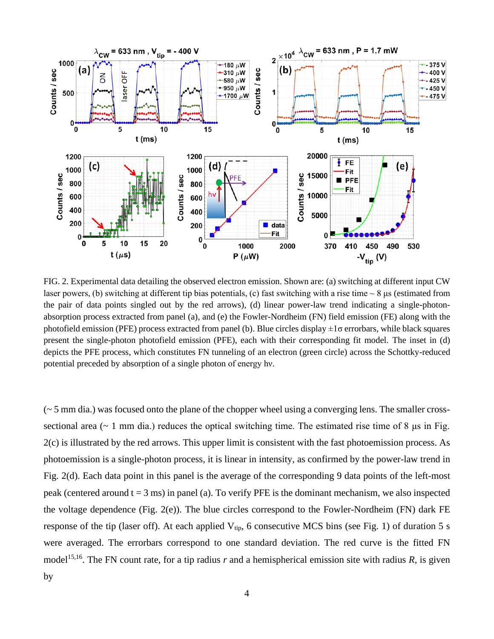

FIG. 2. Experimental data detailing the observed electron emission. Shown are: (a) switching at different input CW laser powers, (b) switching at different tip bias potentials, (c) fast switching with a rise time  $\sim 8$  µs (estimated from the pair of data points singled out by the red arrows), (d) linear power-law trend indicating a single-photonabsorption process extracted from panel (a), and (e) the Fowler-Nordheim (FN) field emission (FE) along with the photofield emission (PFE) process extracted from panel (b). Blue circles display  $\pm 1\sigma$  errorbars, while black squares present the single-photon photofield emission (PFE), each with their corresponding fit model. The inset in (d) depicts the PFE process, which constitutes FN tunneling of an electron (green circle) across the Schottky-reduced potential preceded by absorption of a single photon of energy hν.

 $\sim$  5 mm dia.) was focused onto the plane of the chopper wheel using a converging lens. The smaller crosssectional area ( $\sim$  1 mm dia.) reduces the optical switching time. The estimated rise time of 8  $\mu$ s in Fig. 2(c) is illustrated by the red arrows. This upper limit is consistent with the fast photoemission process. As photoemission is a single-photon process, it is linear in intensity, as confirmed by the power-law trend in Fig. 2(d). Each data point in this panel is the average of the corresponding 9 data points of the left-most peak (centered around  $t = 3$  ms) in panel (a). To verify PFE is the dominant mechanism, we also inspected the voltage dependence (Fig. 2(e)). The blue circles correspond to the Fowler-Nordheim (FN) dark FE response of the tip (laser off). At each applied  $V_{tip}$ , 6 consecutive MCS bins (see Fig. 1) of duration 5 s were averaged. The errorbars correspond to one standard deviation. The red curve is the fitted FN model<sup>15,16</sup>. The FN count rate, for a tip radius  $r$  and a hemispherical emission site with radius  $R$ , is given by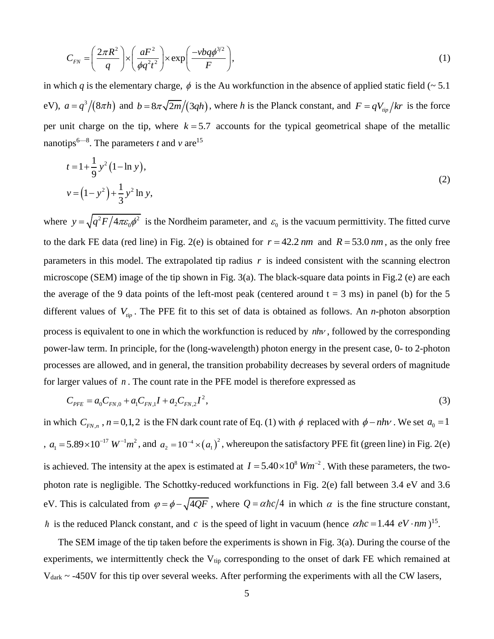$$
C_{FN} = \left(\frac{2\pi R^2}{q}\right) \times \left(\frac{aF^2}{\phi q^2 t^2}\right) \times \exp\left(\frac{-\nu bq\phi^{3/2}}{F}\right),\tag{1}
$$

in which q is the elementary charge,  $\phi$  is the Au workfunction in the absence of applied static field ( $\sim$  5.1 eV),  $a = q^3/(8\pi h)$  and  $b = 8\pi\sqrt{2m}/(3qh)$ , where *h* is the Planck constant, and  $F = qV_{\text{tip}}/kr$  is the force per unit charge on the tip, where  $k = 5.7$  accounts for the typical geometrical shape of the metallic nanotips<sup>6—8</sup>. The parameters *t* and *v* are<sup>15</sup>

$$
t = 1 + \frac{1}{9} y^{2} (1 - \ln y),
$$
  
\n
$$
v = (1 - y^{2}) + \frac{1}{3} y^{2} \ln y,
$$
\n(2)

where  $y = \sqrt{q^2 F/4\pi \epsilon_0 \phi^2}$  $y = \sqrt{q^2 F/4\pi \epsilon_0 \phi^2}$  is the Nordheim parameter, and  $\epsilon_0$  is the vacuum permittivity. The fitted curve to the dark FE data (red line) in Fig. 2(e) is obtained for  $r = 42.2$  nm and  $R = 53.0$  nm, as the only free parameters in this model. The extrapolated tip radius  $r$  is indeed consistent with the scanning electron microscope (SEM) image of the tip shown in Fig. 3(a). The black-square data points in Fig.2 (e) are each the average of the 9 data points of the left-most peak (centered around  $t = 3$  ms) in panel (b) for the 5 different values of *Vtip* . The PFE fit to this set of data is obtained as follows. An *n*-photon absorption process is equivalent to one in which the workfunction is reduced by  $nhv$ , followed by the corresponding power-law term. In principle, for the (long-wavelength) photon energy in the present case, 0- to 2-photon processes are allowed, and in general, the transition probability decreases by several orders of magnitude for larger values of *n* . The count rate in the PFE model is therefore expressed as

$$
C_{PFE} = a_0 C_{FN,0} + a_1 C_{FN,1} I + a_2 C_{FN,2} I^2,
$$
\n(3)

in which  $C_{FN,n}$ ,  $n = 0,1,2$  is the FN dark count rate of Eq. (1) with  $\phi$  replaced with  $\phi - nhv$ . We set  $a_0 = 1$ *n*  $a_1 = 5.89 \times 10^{-17}$   $W^{-1}m^2$ , and  $a_2 = 10^{-4} \times (a_1)^2$ , whereupon the satisfactory PFE fit (green line) in Fig. 2(e) is achieved. The intensity at the apex is estimated at  $I = 5.40 \times 10^8$   $Wm^{-2}$ . With these parameters, the twophoton rate is negligible. The Schottky-reduced workfunctions in Fig. 2(e) fall between 3.4 eV and 3.6 eV. This is calculated from  $\varphi = \phi - \sqrt{4QF}$ , where  $Q = \alpha \hbar c/4$  in which  $\alpha$  is the fine structure constant, is the reduced Planck constant, and c is the speed of light in vacuum (hence  $\alpha \hbar c = 1.44 \, eV \cdot nm$ )<sup>15</sup>.

The SEM image of the tip taken before the experiments is shown in Fig. 3(a). During the course of the experiments, we intermittently check the  $V_{tip}$  corresponding to the onset of dark FE which remained at Vdark ~ -450V for this tip over several weeks. After performing the experiments with all the CW lasers,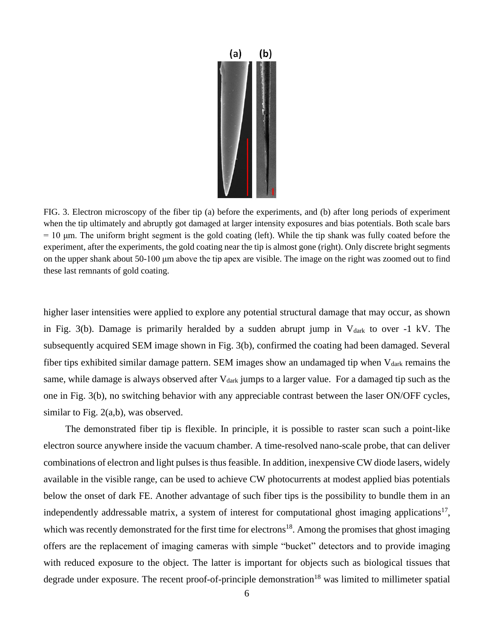

FIG. 3. Electron microscopy of the fiber tip (a) before the experiments, and (b) after long periods of experiment when the tip ultimately and abruptly got damaged at larger intensity exposures and bias potentials. Both scale bars  $= 10$  μm. The uniform bright segment is the gold coating (left). While the tip shank was fully coated before the experiment, after the experiments, the gold coating near the tip is almost gone (right). Only discrete bright segments on the upper shank about 50-100 μm above the tip apex are visible. The image on the right was zoomed out to find these last remnants of gold coating.

higher laser intensities were applied to explore any potential structural damage that may occur, as shown in Fig. 3(b). Damage is primarily heralded by a sudden abrupt jump in  $V_{dark}$  to over -1 kV. The subsequently acquired SEM image shown in Fig. 3(b), confirmed the coating had been damaged. Several fiber tips exhibited similar damage pattern. SEM images show an undamaged tip when  $V_{dark}$  remains the same, while damage is always observed after  $V_{dark}$  jumps to a larger value. For a damaged tip such as the one in Fig. 3(b), no switching behavior with any appreciable contrast between the laser ON/OFF cycles, similar to Fig. 2(a,b), was observed.

The demonstrated fiber tip is flexible. In principle, it is possible to raster scan such a point-like electron source anywhere inside the vacuum chamber. A time-resolved nano-scale probe, that can deliver combinations of electron and light pulses is thus feasible. In addition, inexpensive CW diode lasers, widely available in the visible range, can be used to achieve CW photocurrents at modest applied bias potentials below the onset of dark FE. Another advantage of such fiber tips is the possibility to bundle them in an independently addressable matrix, a system of interest for computational ghost imaging applications<sup>17</sup>, which was recently demonstrated for the first time for electrons<sup>18</sup>. Among the promises that ghost imaging offers are the replacement of imaging cameras with simple "bucket" detectors and to provide imaging with reduced exposure to the object. The latter is important for objects such as biological tissues that degrade under exposure. The recent proof-of-principle demonstration<sup>18</sup> was limited to millimeter spatial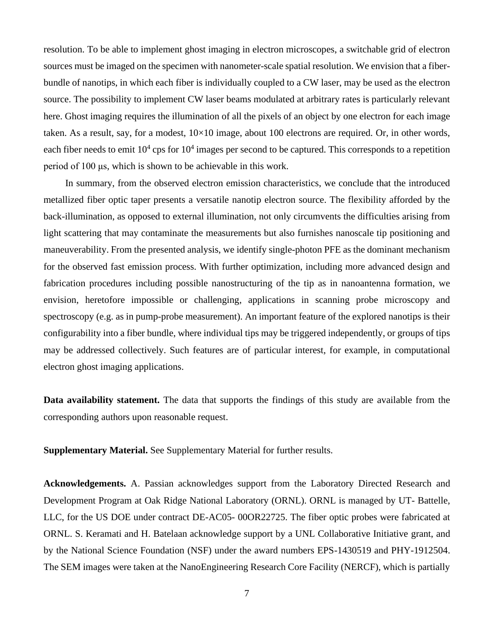resolution. To be able to implement ghost imaging in electron microscopes, a switchable grid of electron sources must be imaged on the specimen with nanometer-scale spatial resolution. We envision that a fiberbundle of nanotips, in which each fiber is individually coupled to a CW laser, may be used as the electron source. The possibility to implement CW laser beams modulated at arbitrary rates is particularly relevant here. Ghost imaging requires the illumination of all the pixels of an object by one electron for each image taken. As a result, say, for a modest, 10×10 image, about 100 electrons are required. Or, in other words, each fiber needs to emit  $10^4$  cps for  $10^4$  images per second to be captured. This corresponds to a repetition period of 100 μs, which is shown to be achievable in this work.

In summary, from the observed electron emission characteristics, we conclude that the introduced metallized fiber optic taper presents a versatile nanotip electron source. The flexibility afforded by the back-illumination, as opposed to external illumination, not only circumvents the difficulties arising from light scattering that may contaminate the measurements but also furnishes nanoscale tip positioning and maneuverability. From the presented analysis, we identify single-photon PFE as the dominant mechanism for the observed fast emission process. With further optimization, including more advanced design and fabrication procedures including possible nanostructuring of the tip as in nanoantenna formation, we envision, heretofore impossible or challenging, applications in scanning probe microscopy and spectroscopy (e.g. as in pump-probe measurement). An important feature of the explored nanotips is their configurability into a fiber bundle, where individual tips may be triggered independently, or groups of tips may be addressed collectively. Such features are of particular interest, for example, in computational electron ghost imaging applications.

**Data availability statement.** The data that supports the findings of this study are available from the corresponding authors upon reasonable request.

**Supplementary Material.** See Supplementary Material for further results.

**Acknowledgements.** A. Passian acknowledges support from the Laboratory Directed Research and Development Program at Oak Ridge National Laboratory (ORNL). ORNL is managed by UT- Battelle, LLC, for the US DOE under contract DE-AC05- 00OR22725. The fiber optic probes were fabricated at ORNL. S. Keramati and H. Batelaan acknowledge support by a UNL Collaborative Initiative grant, and by the National Science Foundation (NSF) under the award numbers EPS-1430519 and PHY-1912504. The SEM images were taken at the NanoEngineering Research Core Facility (NERCF), which is partially